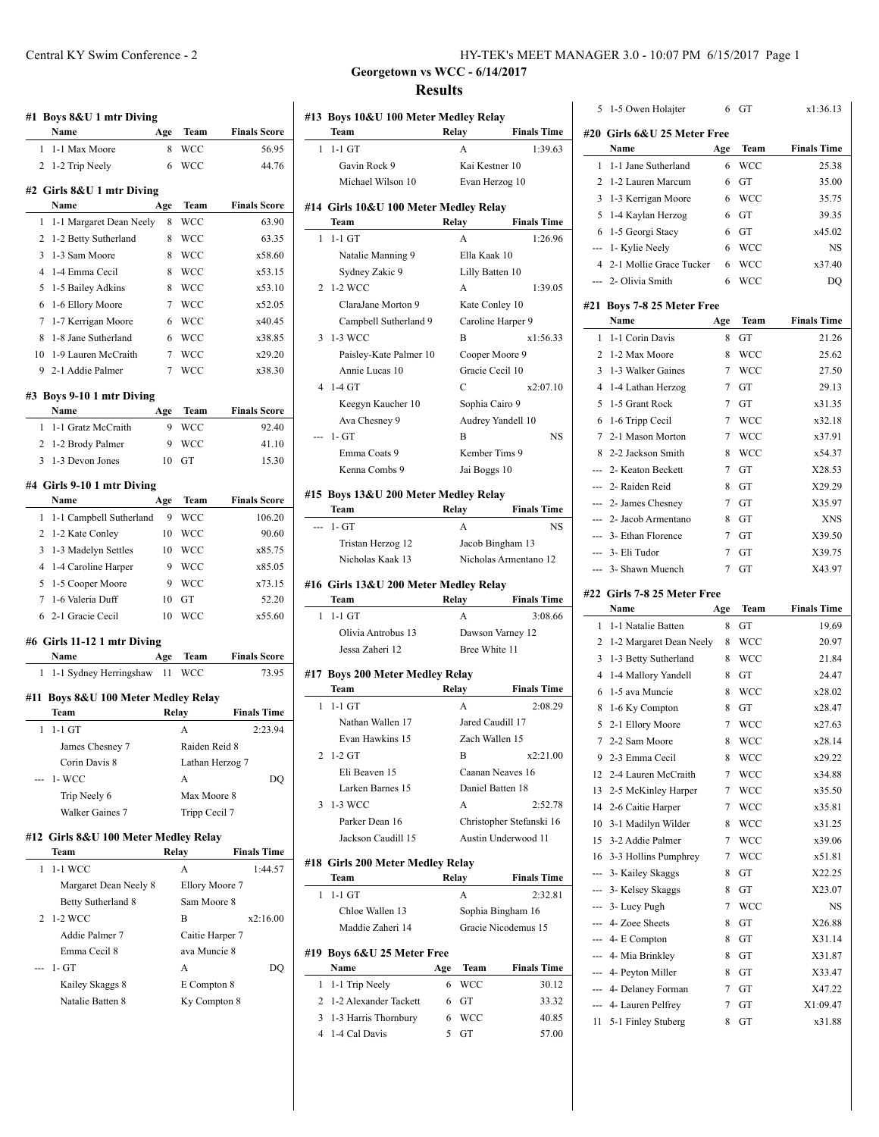|                | Name                                        | Age   | Team            | <b>Finals Score</b> |
|----------------|---------------------------------------------|-------|-----------------|---------------------|
| 1              | 1-1 Max Moore                               | 8     | WCC             | 56.95               |
|                | 2 1-2 Trip Neely                            | 6     | WCC             | 44.76               |
|                | #2 Girls 8&U 1 mtr Diving                   |       |                 |                     |
|                | Name                                        | Age   | Team            | <b>Finals Score</b> |
| 1              | 1-1 Margaret Dean Neely                     | 8     | WCC             | 63.90               |
| 2              | 1-2 Betty Sutherland                        | 8     | WCC             | 63.35               |
| 3              | 1-3 Sam Moore                               | 8     | WCC             | x58.60              |
| $\overline{4}$ | 1-4 Emma Cecil                              | 8     | WCC             | x53.15              |
| 5              | 1-5 Bailey Adkins                           | 8     | WCC             | x53.10              |
| 6              | 1-6 Ellory Moore                            | 7     | <b>WCC</b>      | x52.05              |
| 7              | 1-7 Kerrigan Moore                          | 6     | WCC             | x40.45              |
| 8              | 1-8 Jane Sutherland                         | 6     | WCC             | x38.85              |
| 10             | 1-9 Lauren McCraith                         | 7     | WCC             | x29.20              |
|                | 9 2-1 Addie Palmer                          | 7     | WCC             | x38.30              |
|                | #3 Boys 9-10 1 mtr Diving                   |       |                 |                     |
|                | Name                                        | Age   | Team            | <b>Finals Score</b> |
| $\mathbf{1}$   | 1-1 Gratz McCraith                          | 9     | WCC             | 92.40               |
| $\overline{2}$ | 1-2 Brody Palmer                            | 9     | WCC             | 41.10               |
| 3              | 1-3 Devon Jones                             | 10    | GT              | 15.30               |
|                |                                             |       |                 |                     |
|                | #4 Girls 9-10 1 mtr Diving                  |       |                 |                     |
|                | Name                                        | Age   | Team            | <b>Finals Score</b> |
| 1              | 1-1 Campbell Sutherland                     | 9     | WCC             | 106.20              |
| $\overline{2}$ | 1-2 Kate Conley                             | 10    | WCC             | 90.60               |
| 3              | 1-3 Madelyn Settles                         | 10    | WCC             | x85.75              |
| 4              | 1-4 Caroline Harper                         | 9     | WCC             | x85.05              |
| 5              | 1-5 Cooper Moore                            | 9     | WCC             | x73.15              |
| 7              | 1-6 Valeria Duff                            | 10    | GТ              | 52.20               |
|                | 6 2-1 Gracie Cecil                          | 10    | WCC             | x55.60              |
|                |                                             |       |                 |                     |
|                | #6 Girls 11-12 1 mtr Diving                 |       |                 |                     |
|                | Name                                        | Age   | Team            | <b>Finals Score</b> |
|                | 1-1 Sydney Herringshaw                      | 11    | <b>WCC</b>      | 73.95               |
| 1              |                                             |       |                 |                     |
|                | #11 Boys 8&U 100 Meter Medley Relay<br>Team | Relay |                 | <b>Finals Time</b>  |
| 1              | $1-1$ GT                                    |       | А               | 2:23.94             |
|                | James Chesney 7                             |       | Raiden Reid 8   |                     |
|                | Corin Davis 8                               |       | Lathan Herzog 7 |                     |
|                | $1-WCC$                                     |       | A               | DO                  |
|                | Trip Neely 6                                |       | Max Moore 8     |                     |
|                | Walker Gaines 7                             |       | Tripp Cecil 7   |                     |
|                |                                             |       |                 |                     |
|                | #12 Girls 8&U 100 Meter Medley Relay        |       |                 |                     |
|                | Team                                        |       | Relay           | <b>Finals Time</b>  |
| 1              | 1-1 WCC                                     |       | A               | 1:44.57             |
|                | Margaret Dean Neely 8                       |       | Ellory Moore 7  |                     |
|                | Betty Sutherland 8                          |       | Sam Moore 8     |                     |
| 2              | 1-2 WCC                                     |       | B               | x2:16.00            |
|                | Addie Palmer 7                              |       | Caitie Harper 7 |                     |
|                | Emma Cecil 8                                |       | ava Muncie 8    |                     |
|                | $1 - GT$                                    |       | A               | DQ                  |
|                | Kailey Skaggs 8                             |       | E Compton 8     |                     |
|                | Natalie Batten 8                            |       | Ky Compton 8    |                     |

 $\mathbb{R}^2$ 

6 GT x1:36.13

**Georgetown vs WCC - 6/14/2017 Results**

| #13 Boys 10&U 100 Meter Medley Relay          |                    |                                                 |          | 5 1-5 Owen Holajter                  |        | 6 GT        | x1:36.13                                                                                                 |
|-----------------------------------------------|--------------------|-------------------------------------------------|----------|--------------------------------------|--------|-------------|----------------------------------------------------------------------------------------------------------|
| Team                                          | Relay              | <b>Finals Time</b>                              |          |                                      |        |             |                                                                                                          |
| $1 - 1 - 1$ GT                                | A                  | 1:39.63                                         |          | #20  Girls 6&U 25 Meter Free<br>Name | Age    | Team        | <b>Finals Time</b>                                                                                       |
| Gavin Rock 9                                  | Kai Kestner 10     |                                                 |          | 1 1-1 Jane Sutherland                | 6      | <b>WCC</b>  | 25.38                                                                                                    |
| Michael Wilson 10                             |                    |                                                 |          |                                      |        | 6 GT        | 35.00                                                                                                    |
|                                               | Evan Herzog 10     |                                                 |          | 2 1-2 Lauren Marcum                  |        | <b>WCC</b>  |                                                                                                          |
| #14 Girls 10&U 100 Meter Medley Relay         |                    |                                                 |          | 3 1-3 Kerrigan Moore                 | 6      |             | 35.75                                                                                                    |
| Team                                          | Relay              | <b>Finals Time</b>                              |          | 5 1-4 Kaylan Herzog                  | 6      | GT          | 39.35                                                                                                    |
| $1 \t1-1 GT$                                  | A                  | 1:26.96                                         |          | 6 1-5 Georgi Stacy                   | 6      | GT          | x45.02                                                                                                   |
| Natalie Manning 9                             | Ella Kaak 10       |                                                 |          | --- 1- Kylie Neely                   | 6      | <b>WCC</b>  | NS                                                                                                       |
| Sydney Zakic 9                                | Lilly Batten 10    |                                                 |          | 4 2-1 Mollie Grace Tucker            | 6      | <b>WCC</b>  | x37.40                                                                                                   |
| 2 1-2 WCC                                     | A                  | 1:39.05                                         |          | --- 2- Olivia Smith                  | 6      | <b>WCC</b>  | DQ                                                                                                       |
| ClaraJane Morton 9                            | Kate Conley 10     |                                                 |          | #21 Boys 7-8 25 Meter Free           |        |             |                                                                                                          |
| Campbell Sutherland 9                         |                    | Caroline Harper 9                               |          | Name                                 | Age    | Team        | <b>Finals Time</b>                                                                                       |
| 3 1-3 WCC                                     | B                  | x1:56.33                                        |          | 1 1-1 Corin Davis                    | 8      | <b>GT</b>   | 21.26                                                                                                    |
| Paisley-Kate Palmer 10                        | Cooper Moore 9     |                                                 |          | 2 1-2 Max Moore                      | 8      | <b>WCC</b>  | 25.62                                                                                                    |
| Annie Lucas 10                                | Gracie Cecil 10    |                                                 |          | 3 1-3 Walker Gaines                  | 7      | <b>WCC</b>  | 27.50                                                                                                    |
| 4 1-4 GT                                      | $\mathcal{C}$      | x2:07.10                                        |          | 4 1-4 Lathan Herzog                  | 7      | GT          | 29.13                                                                                                    |
| Keegyn Kaucher 10                             | Sophia Cairo 9     |                                                 |          | 5 1-5 Grant Rock                     | 7      | GT          | x31.35                                                                                                   |
| Ava Chesney 9                                 |                    | Audrey Yandell 10                               |          | 6 1-6 Tripp Cecil                    | 7      | <b>WCC</b>  | x32.18                                                                                                   |
| --- 1- GT                                     | B                  | <b>NS</b>                                       |          | 7 2-1 Mason Morton                   | 7      | WCC         | x37.91                                                                                                   |
| Emma Coats 9                                  | Kember Tims 9      |                                                 |          | 8 2-2 Jackson Smith                  | 8      | <b>WCC</b>  | x54.37                                                                                                   |
| Kenna Combs 9                                 | Jai Boggs 10       |                                                 |          | --- 2- Keaton Beckett                |        | $7$ GT      | X28.53                                                                                                   |
|                                               |                    |                                                 |          | --- 2- Raiden Reid                   | 8      | GT          | X29.29                                                                                                   |
| #15 Boys 13&U 200 Meter Medley Relay          |                    |                                                 |          | --- 2- James Chesney                 |        | $7$ GT      | X35.97                                                                                                   |
| Team                                          | Relay              | <b>Finals Time</b>                              |          | --- 2- Jacob Armentano               | 8      |             | <b>XNS</b>                                                                                               |
| --- 1- GT                                     | A                  | <b>NS</b>                                       |          |                                      |        | GT          |                                                                                                          |
| Tristan Herzog 12                             |                    | Jacob Bingham 13                                |          | --- 3- Ethan Florence                | 7      | GT          | X39.50                                                                                                   |
| Nicholas Kaak 13                              |                    | Nicholas Armentano 12                           |          | --- 3- Eli Tudor                     | 7      | GT          | X39.75                                                                                                   |
|                                               |                    |                                                 |          | --- 3- Shawn Muench                  | $\tau$ | GT          | X43.97                                                                                                   |
| #16 Girls 13&U 200 Meter Medley Relay<br>Team | Relay              | <b>Finals Time</b>                              |          | #22 Girls 7-8 25 Meter Free          |        |             |                                                                                                          |
| $1 \t1-1 GT$                                  | A                  | 3:08.66                                         |          | Name                                 | Age    | <b>Team</b> | <b>Finals Time</b>                                                                                       |
| Olivia Antrobus 13                            |                    |                                                 |          | 1 1-1 Natalie Batten                 | 8      | GT          | 19.69                                                                                                    |
|                                               |                    |                                                 |          |                                      |        |             |                                                                                                          |
|                                               |                    | Dawson Varney 12                                |          | 2 1-2 Margaret Dean Neely            |        | 8 WCC       |                                                                                                          |
| Jessa Zaheri 12                               | Bree White 11      |                                                 |          | 3 1-3 Betty Sutherland               | 8      | <b>WCC</b>  |                                                                                                          |
| #17 Boys 200 Meter Medley Relay               |                    |                                                 |          | 4 1-4 Mallory Yandell                | 8      | GT          |                                                                                                          |
| Team                                          | Relay              | <b>Finals Time</b>                              |          | 6 1-5 ava Muncie                     | 8      | <b>WCC</b>  | 20.97<br>21.84<br>24.47<br>x28.02                                                                        |
| $1 - 1 - 1$ GT                                | A                  | 2:08.29                                         |          | 8 1-6 Ky Compton                     | 8      | GT          | x28.47                                                                                                   |
| Nathan Wallen 17                              | Jared Caudill 17   |                                                 |          | 5 2-1 Ellory Moore                   | 7      | WCC         | x27.63                                                                                                   |
| Evan Hawkins 15                               | Zach Wallen 15     |                                                 |          | 7 2-2 Sam Moore                      | 8      | <b>WCC</b>  | x28.14                                                                                                   |
| 2 1-2 GT                                      | B                  | x2:21.00                                        |          | 9 2-3 Emma Cecil                     |        | 8 WCC       | x29.22                                                                                                   |
| Eli Beaven 15                                 |                    | Caanan Neaves 16                                |          | 12 2-4 Lauren McCraith               | 7      | <b>WCC</b>  |                                                                                                          |
| Larken Barnes 15                              | Daniel Batten 18   |                                                 | 13       |                                      | 7      | <b>WCC</b>  |                                                                                                          |
| 3 1-3 WCC                                     | A                  | 2:52.78                                         |          | 2-5 McKinley Harper                  |        |             | x34.88<br>x35.50                                                                                         |
| Parker Dean 16                                |                    |                                                 |          | 14 2-6 Caitie Harper                 | 7      | <b>WCC</b>  | x35.81                                                                                                   |
|                                               |                    | Christopher Stefanski 16<br>Austin Underwood 11 | 10       | 3-1 Madilyn Wilder                   | 8      | <b>WCC</b>  | x31.25                                                                                                   |
| Jackson Caudill 15                            |                    |                                                 |          | 15 3-2 Addie Palmer                  |        | 7 WCC       |                                                                                                          |
| #18 Girls 200 Meter Medley Relay              |                    |                                                 |          | 16 3-3 Hollins Pumphrey              | 7      | <b>WCC</b>  |                                                                                                          |
| Team                                          | Relay              | <b>Finals Time</b>                              |          | --- 3- Kailey Skaggs                 |        | 8 GT        |                                                                                                          |
| $1 - 1 - 1$ GT                                | A                  | 2:32.81                                         | $\cdots$ | 3- Kelsey Skaggs                     | 8      | GT          |                                                                                                          |
| Chloe Wallen 13                               |                    | Sophia Bingham 16                               |          | --- 3- Lucy Pugh                     | 7      | <b>WCC</b>  |                                                                                                          |
| Maddie Zaheri 14                              |                    | Gracie Nicodemus 15                             |          | --- 4- Zoee Sheets                   | 8      | GT          |                                                                                                          |
|                                               |                    |                                                 |          | --- 4- E Compton                     | 8      | GT          |                                                                                                          |
| #19 Boys 6&U 25 Meter Free                    |                    |                                                 |          | --- 4- Mia Brinkley                  | 8      | GT          |                                                                                                          |
| Name                                          | <b>Team</b><br>Age | <b>Finals Time</b>                              |          | --- 4- Peyton Miller                 | 8      | GT          |                                                                                                          |
| 1 1-1 Trip Neely                              | <b>WCC</b><br>6    | 30.12                                           |          | --- 4- Delaney Forman                | $\tau$ | GT          |                                                                                                          |
| 2 1-2 Alexander Tackett                       | GT<br>6            | 33.32                                           |          | --- 4- Lauren Pelfrey                | 7      | GT          | x39.06<br>x51.81<br>X22.25<br>X23.07<br>NS<br>X26.88<br>X31.14<br>X31.87<br>X33.47<br>X47.22<br>X1:09.47 |
| 3 1-3 Harris Thornbury                        | <b>WCC</b><br>6    | 40.85                                           |          | 11 5-1 Finley Stuberg                |        | 8 GT        | x31.88                                                                                                   |
| 4 1-4 Cal Davis                               | 5<br>GT            | 57.00                                           |          |                                      |        |             |                                                                                                          |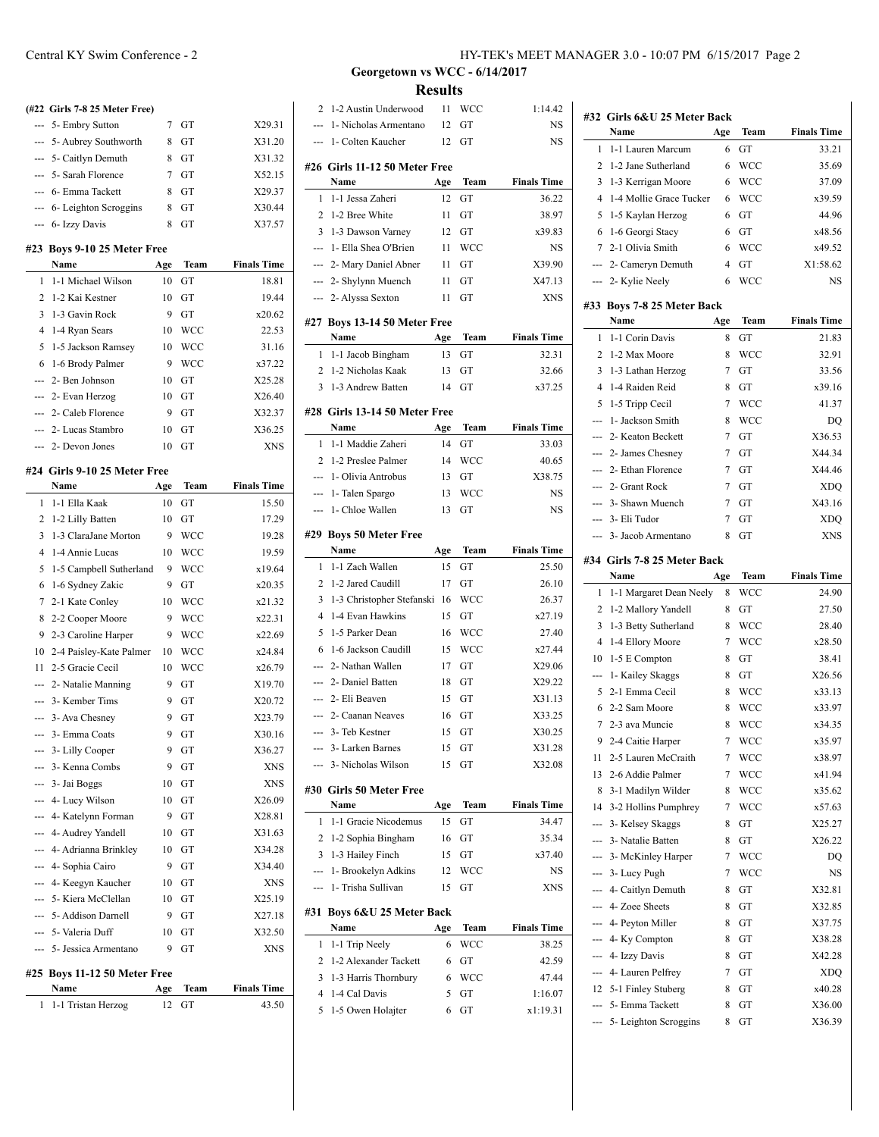|                | (#22 Girls 7-8 25 Meter Free)                 |          |                   |                      |
|----------------|-----------------------------------------------|----------|-------------------|----------------------|
|                | 5- Embry Sutton                               | 7        | GT                | X29.31               |
|                | 5- Aubrey Southworth                          | 8        | GT                | X31.20               |
| ---            | 5- Caitlyn Demuth                             | 8        | GT                | X31.32               |
| $\overline{a}$ | 5- Sarah Florence                             | 7        | GT                | X52.15               |
|                | --- 6- Emma Tackett                           | 8        | GT                | X29.37               |
|                | --- 6- Leighton Scroggins                     | 8        | GT                | X30.44               |
|                | --- 6- Izzy Davis                             | 8        | GT                | X37.57               |
|                |                                               |          |                   |                      |
|                | #23 Boys 9-10 25 Meter Free<br>Name           | Age      | <b>Team</b>       | <b>Finals Time</b>   |
| 1              | 1-1 Michael Wilson                            | 10       | GT                | 18.81                |
| 2              | 1-2 Kai Kestner                               | 10       | GT                | 19.44                |
| 3              | 1-3 Gavin Rock                                | 9        | GT                | x20.62               |
| 4              |                                               |          | <b>WCC</b>        | 22.53                |
| 5              | 1-4 Ryan Sears                                | 10<br>10 |                   | 31.16                |
| 6              | 1-5 Jackson Ramsey                            | 9        | WCC<br><b>WCC</b> | x37.22               |
| $-$            | 1-6 Brody Palmer<br>2- Ben Johnson            |          | GT                | X25.28               |
|                |                                               | 10<br>10 | GT                | X26.40               |
| ---            | 2- Evan Herzog                                | 9        |                   |                      |
|                | --- 2- Caleb Florence<br>--- 2- Lucas Stambro | 10       | GT                | X32.37               |
|                | --- 2- Devon Jones                            |          | GT                | X36.25<br><b>XNS</b> |
|                |                                               | 10       | GT                |                      |
|                | #24 Girls 9-10 25 Meter Free                  |          |                   |                      |
|                | Name                                          | Age      | Team              | <b>Finals Time</b>   |
| 1              | 1-1 Ella Kaak                                 | 10       | GT                | 15.50                |
| 2              | 1-2 Lilly Batten                              | 10       | GT                | 17.29                |
| 3              | 1-3 ClaraJane Morton                          | 9        | WCC               | 19.28                |
| 4              | 1-4 Annie Lucas                               | 10       | WCC               | 19.59                |
| 5              | 1-5 Campbell Sutherland                       | 9        | WCC               | x19.64               |
| 6              | 1-6 Sydney Zakic                              | 9        | GT                | x20.35               |
| 7              | 2-1 Kate Conley                               | 10       | WCC               | x21.32               |
| 8              | 2-2 Cooper Moore                              | 9        | WCC               | x22.31               |
| 9              | 2-3 Caroline Harper                           | 9        | <b>WCC</b>        | x22.69               |
| 10             | 2-4 Paisley-Kate Palmer                       | 10       | <b>WCC</b>        | x24.84               |
| 11             | 2-5 Gracie Cecil                              | 10       | <b>WCC</b>        | x26.79               |
|                | --- 2- Natalie Manning                        | 9        | GT                | X19.70               |
|                | --- 3- Kember Tims                            | 9        | GT                | X20.72               |
|                | 3- Ava Chesney                                | 9        | GT                | X23.79               |
|                | 3- Emma Coats                                 | 9        | GT                | X30.16               |
|                | --- 3- Lilly Cooper                           | 9        | GT                | X36.27               |
|                | --- 3- Kenna Combs                            | 9        | GT                | XNS                  |
|                | --- 3- Jai Boggs                              | 10       | GT                | XNS                  |
|                | --- 4- Lucy Wilson                            | 10       | GT                | X26.09               |
|                | --- 4- Katelynn Forman                        | 9        | GT                | X28.81               |
|                | --- 4- Audrey Yandell                         | 10       | GT                | X31.63               |
|                | --- 4- Adrianna Brinkley                      | 10       | GT                | X34.28               |
|                | --- 4- Sophia Cairo                           | 9        | GT                | X34.40               |
|                | --- 4- Keegyn Kaucher                         | 10       | GT                | <b>XNS</b>           |
|                | --- 5- Kiera McClellan                        | 10       | GT                | X25.19               |
|                | 5- Addison Darnell                            | 9        | GT                | X27.18               |
|                | --- 5- Valeria Duff                           | 10       | GT                | X32.50               |
|                | --- 5- Jessica Armentano                      | 9        | GT                | <b>XNS</b>           |
|                |                                               |          |                   |                      |
|                | #25 Boys 11-12 50 Meter Free                  |          |                   |                      |

| <b>Name</b>          | Age Team             | <b>Finals Time</b> |
|----------------------|----------------------|--------------------|
| 1 1-1 Tristan Herzog | $12 \quad \text{GT}$ | 43.50              |

## **Georgetown vs WCC - 6/14/2017**

**Results**

|                |                                         | сэинэ |            |                    |
|----------------|-----------------------------------------|-------|------------|--------------------|
| 2              | 1-2 Austin Underwood                    | 11    | <b>WCC</b> | 1:14.42            |
| L.             | 1- Nicholas Armentano                   | 12    | GT         | NS                 |
| ---            | 1- Colten Kaucher                       | 12    | GT         | NS                 |
|                | #26 Girls 11-12 50 Meter Free           |       |            |                    |
|                | Name                                    | Age   | Team       | <b>Finals Time</b> |
| 1              | 1-1 Jessa Zaheri                        | 12    | GT         | 36.22              |
| 2              | 1-2 Bree White                          | 11    | GT         | 38.97              |
| 3              | 1-3 Dawson Varney                       | 12    | GT         | x39.83             |
|                | --- 1- Ella Shea O'Brien                | 11    | <b>WCC</b> | NS                 |
| ---            | 2- Mary Daniel Abner                    | 11    | GT         | X39.90             |
| ---            | 2- Shylynn Muench                       | 11    | GT         | X47.13             |
| ---            | 2- Alyssa Sexton                        | 11    | GT         | <b>XNS</b>         |
|                |                                         |       |            |                    |
|                | #27 Boys 13-14 50 Meter Free            |       |            |                    |
|                | Name                                    | Age   | Team       | <b>Finals Time</b> |
| 1              | 1-1 Jacob Bingham                       | 13    | GT         | 32.31              |
|                | 2 1-2 Nicholas Kaak                     | 13    | GT         | 32.66              |
|                | 3 1-3 Andrew Batten                     | 14    | GT         | x37.25             |
|                | #28 Girls 13-14 50 Meter Free           |       |            |                    |
|                | Name                                    | Age   | Team       | <b>Finals Time</b> |
| 1              | 1-1 Maddie Zaheri                       | 14    | GT         | 33.03              |
| $\overline{2}$ | 1-2 Preslee Palmer                      | 14    | <b>WCC</b> | 40.65              |
|                | 1- Olivia Antrobus                      | 13    | GT         | X38.75             |
| ---            | 1- Talen Spargo                         | 13    | WCC        | <b>NS</b>          |
| ---            | 1- Chloe Wallen                         | 13    | GT         | <b>NS</b>          |
|                | #29 Boys 50 Meter Free                  |       |            |                    |
|                | Name                                    | Age   | Team       | <b>Finals Time</b> |
| 1              | 1-1 Zach Wallen                         | 15    | GT         | 25.50              |
| 2              | 1-2 Jared Caudill                       | 17    | GT         | 26.10              |
| 3              | 1-3 Christopher Stefanski               | 16    | <b>WCC</b> | 26.37              |
| $\overline{4}$ | 1-4 Evan Hawkins                        | 15    | GT         | x27.19             |
| 5              | 1-5 Parker Dean                         | 16    | <b>WCC</b> | 27.40              |
| 6              | 1-6 Jackson Caudill                     | 15    | <b>WCC</b> | x27.44             |
|                | 2- Nathan Wallen                        | 17    | GT         | X29.06             |
| ---            | 2- Daniel Batten                        | 18    | GT         | X29.22             |
|                | --- 2- Eli Beaven                       | 15    | GT         | X31.13             |
| ---            | 2- Caanan Neaves                        | 16    | GT         | X33.25             |
|                | 3- Teb Kestner                          | 15    | GT         | X30.25             |
|                | 3- Larken Barnes                        | 15    | GT         | X31.28             |
|                | 3- Nicholas Wilson                      | 15    | GT         | X32.08             |
|                | #30 Girls 50 Meter Free                 |       |            |                    |
|                | Name                                    | Age   | Team       | <b>Finals Time</b> |
| 1              | 1-1 Gracie Nicodemus                    | 15    | GT         | 34.47              |
| 2              | 1-2 Sophia Bingham                      | 16    | GT         | 35.34              |
| 3              | 1-3 Hailey Finch                        | 15    | GT         | x37.40             |
| ---            | 1- Brookelyn Adkins                     | 12    | WCC        | NS                 |
| ---            | 1- Trisha Sullivan                      | 15    | GT         | XNS                |
|                |                                         |       |            |                    |
| #31            | Boys 6&U 25 Meter Back<br>Name          | Age   | Team       | <b>Finals Time</b> |
| 1              |                                         | 6     | <b>WCC</b> | 38.25              |
| 2              | 1-1 Trip Neely<br>1-2 Alexander Tackett | 6     | GT         | 42.59              |
| 3              | 1-3 Harris Thornbury                    | 6     | WCC        | 47.44              |
| $\overline{4}$ | 1-4 Cal Davis                           | 5     | GT         | 1:16.07            |
| 5              | 1-5 Owen Holajter                       | 6     | GT         | x1:19.31           |
|                |                                         |       |            |                    |

| #32            | Girls 6&U 25 Meter Back               |     |            |                    |
|----------------|---------------------------------------|-----|------------|--------------------|
|                | Name                                  | Age | Team       | <b>Finals Time</b> |
| 1              | 1-1 Lauren Marcum                     | 6   | GT         | 33.21              |
| $\overline{c}$ | 1-2 Jane Sutherland                   | 6   | <b>WCC</b> | 35.69              |
| 3              | 1-3 Kerrigan Moore                    | 6   | WCC        | 37.09              |
| 4              | 1-4 Mollie Grace Tucker               | 6   | WCC        | x39.59             |
| 5              | 1-5 Kaylan Herzog                     | 6   | GT         | 44.96              |
| 6              | 1-6 Georgi Stacy                      | 6   | GT         | x48.56             |
| 7              | 2-1 Olivia Smith                      | 6   | WCC        | x49.52             |
| ---            | 2- Cameryn Demuth                     | 4   | GT         | X1:58.62           |
| ---            | 2- Kylie Neely                        | 6   | WCC        | <b>NS</b>          |
| #33            | Boys 7-8 25 Meter Back                |     |            |                    |
|                | Name                                  | Age | Team       | <b>Finals Time</b> |
| 1              | 1-1 Corin Davis                       | 8   | GT         | 21.83              |
| 2              | 1-2 Max Moore                         | 8   | WCC        | 32.91              |
| 3              | 1-3 Lathan Herzog                     | 7   | GT         | 33.56              |
| 4              | 1-4 Raiden Reid                       | 8   | GT         | x39.16             |
| 5              | 1-5 Tripp Cecil                       | 7   | WCC        | 41.37              |
| $\overline{a}$ | 1- Jackson Smith                      | 8   | WCC        | DQ                 |
| ---            | 2- Keaton Beckett                     | 7   | GT         | X36.53             |
| ---            | 2- James Chesney                      | 7   | GT         | X44.34             |
| ---            | 2- Ethan Florence                     | 7   | GT         | X44.46             |
| $\overline{a}$ | 2- Grant Rock                         | 7   | GT         | XDQ                |
| ---            | 3- Shawn Muench                       | 7   | GT         | X43.16             |
| ---            | 3- Eli Tudor                          | 7   | GT         | XDQ                |
|                | 3- Jacob Armentano                    | 8   | GT         | XNS                |
|                |                                       |     |            |                    |
|                | #34  Girls 7-8 25 Meter Back<br>Name  | Age | Team       | <b>Finals Time</b> |
| 1              | 1-1 Margaret Dean Neely               | 8   | WCC        | 24.90              |
| 2              | 1-2 Mallory Yandell                   | 8   | GT         | 27.50              |
| 3              | 1-3 Betty Sutherland                  | 8   | WCC        | 28.40              |
| 4              | 1-4 Ellory Moore                      | 7   | WCC        | x28.50             |
| 10             | 1-5 E Compton                         | 8   | GT         | 38.41              |
| ---            | 1- Kailey Skaggs                      | 8   | GT         | X26.56             |
| 5              | 2-1 Emma Cecil                        | 8   | WCC        | x33.13             |
| 6              | 2-2 Sam Moore                         | 8   | WCC        | x33.97             |
| 7              | 2-3 ava Muncie                        | 8   | WCC        | x34.35             |
| 9              |                                       |     |            |                    |
|                | 2-4 Caitie Harper                     | 7   | WCC        | x35.97             |
| 11             | 2-5 Lauren McCraith                   | 7   |            |                    |
| 13             | 2-6 Addie Palmer                      | 7   | WCC        | x38.97             |
| 8              |                                       | 8   | WCC<br>WCC | x41.94<br>x35.62   |
| 14             | 3-1 Madilyn Wilder                    | 7   |            |                    |
| ---            | 3-2 Hollins Pumphrey                  | 8   | WCC<br>GT  | x57.63             |
| ---            | 3- Kelsey Skaggs<br>3- Natalie Batten | 8   | GT         | X25.27<br>X26.22   |
|                | --- 3- McKinley Harper                | 7   |            | DQ                 |
|                | --- 3- Lucy Pugh                      | 7   | WCC<br>WCC |                    |
| ---            | 4- Caitlyn Demuth                     | 8   | GT         | NS<br>X32.81       |
| $---$          | 4- Zoee Sheets                        | 8   | GT         | X32.85             |
| ---            | 4- Peyton Miller                      | 8   | GT         | X37.75             |
| ---            | 4- Ky Compton                         | 8   | GT         | X38.28             |
| ---            | 4- Izzy Davis                         | 8   | GT         | X42.28             |
| ---            | 4- Lauren Pelfrey                     | 7   | GT         | XDQ                |
| 12             | 5-1 Finley Stuberg                    | 8   | GT         | x40.28             |
|                | --- 5- Emma Tackett                   | 8   | GT         | X36.00             |
|                | --- 5- Leighton Scroggins             | 8   | GT         | X36.39             |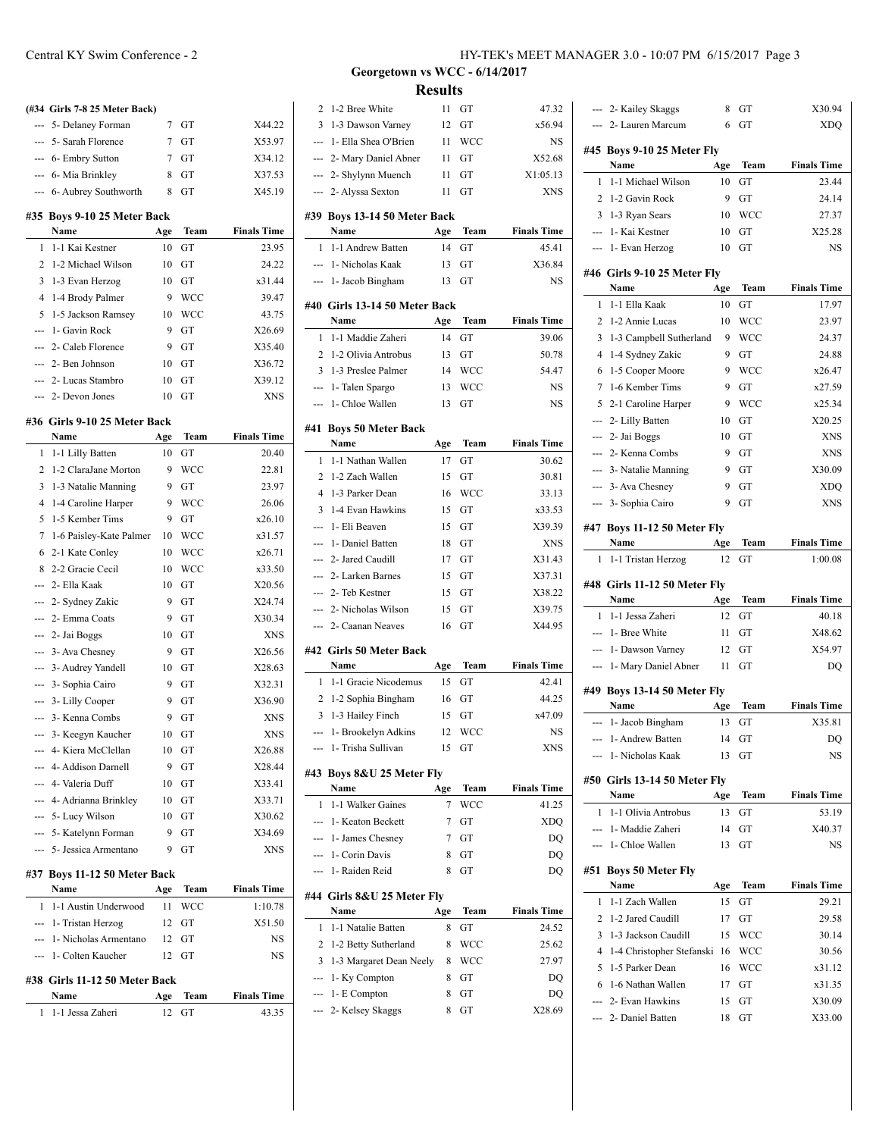|                | (#34 Girls 7-8 25 Meter Back)    |     |      |                    |
|----------------|----------------------------------|-----|------|--------------------|
| ---            | 5- Delaney Forman                | 7   | GT   | X44.22             |
| ---            | 5- Sarah Florence                | 7   | GT   | X53.97             |
| ---            |                                  | 7   | GT   |                    |
|                | 6- Embry Sutton                  | 8   | GT   | X34.12             |
|                | --- 6- Mia Brinkley              |     |      | X37.53             |
|                | --- 6- Aubrey Southworth         | 8   | GT   | X45.19             |
| #35            | Boys 9-10 25 Meter Back          |     |      |                    |
|                | Name                             | Age | Team | <b>Finals Time</b> |
| 1              | 1-1 Kai Kestner                  | 10  | GT   | 23.95              |
| $\overline{c}$ | 1-2 Michael Wilson               | 10  | GT   | 24.22              |
| 3              | 1-3 Evan Herzog                  | 10  | GT   | x31.44             |
| 4              | 1-4 Brody Palmer                 | 9   | WCC  | 39.47              |
| 5              | 1-5 Jackson Ramsey               | 10  | WCC  | 43.75              |
|                | 1- Gavin Rock                    | 9   | GT   | X26.69             |
|                | 2- Caleb Florence                | 9   | GT   | X35.40             |
|                | 2- Ben Johnson                   | 10  | GT   | X36.72             |
|                | 2- Lucas Stambro                 | 10  | GT   | X39.12             |
|                | 2- Devon Jones                   | 10  | GT   | XNS                |
|                | #36  Girls 9-10 25 Meter Back    |     |      |                    |
|                | Name                             | Age | Team | <b>Finals Time</b> |
| 1              | 1-1 Lilly Batten                 | 10  | GT   | 20.40              |
| $\overline{c}$ | 1-2 ClaraJane Morton             | 9   | WCC  | 22.81              |
| 3              | 1-3 Natalie Manning              | 9   | GT   | 23.97              |
| 4              | 1-4 Caroline Harper              | 9   | WCC  | 26.06              |
| 5              | 1-5 Kember Tims                  | 9   | GT   | x26.10             |
| 7              | 1-6 Paisley-Kate Palmer          | 10  | WCC  | x31.57             |
| 6              | 2-1 Kate Conley                  | 10  | WCC  | x26.71             |
| 8              | 2-2 Gracie Cecil                 | 10  | WCC  | x33.50             |
|                | 2- Ella Kaak                     | 10  | GT   | X20.56             |
|                |                                  | 9   | GT   | X24.74             |
| ---<br>---     | 2- Sydney Zakic<br>2- Emma Coats | 9   | GT   | X30.34             |
|                |                                  | 10  | GТ   | XNS                |
| ---            | 2- Jai Boggs                     |     |      |                    |
| ---            | 3- Ava Chesney                   | 9   | GT   | X26.56             |
| ---            | 3- Audrey Yandell                | 10  | GT   | X28.63             |
| ---            | 3- Sophia Cairo                  | 9   | GT   | X32.31             |
| ---            | 3- Lilly Cooper                  | 9   | GT   | X36.90             |
|                | 3- Kenna Combs                   | 9   | GT   | XNS                |
|                | 3- Keegyn Kaucher                | 10  | GT   | <b>XNS</b>         |
|                | --- 4- Kiera McClellan           | 10  | GT   | X26.88             |
|                | --- 4- Addison Darnell           | 9   | GT   | X28.44             |
|                | --- 4- Valeria Duff              | 10  | GT   | X33.41             |
|                | --- 4- Adrianna Brinkley         | 10  | GT   | X33.71             |
|                | --- 5- Lucy Wilson               | 10  | GT   | X30.62             |
|                | --- 5- Katelynn Forman           | 9   | GT   | X34.69             |
|                | --- 5- Jessica Armentano         | 9   | GT   | XNS                |
|                | #37 Boys 11-12 50 Meter Back     |     |      |                    |
|                | Name                             | Age | Team | <b>Finals Time</b> |
| 1              | 1-1 Austin Underwood             | 11  | WCC  | 1:10.78            |
|                | --- 1- Tristan Herzog            | 12  | GT   | X51.50             |
|                | --- 1- Nicholas Armentano        | 12  | GT   | NS                 |
|                | --- 1- Colten Kaucher            | 12  | GT   | NS                 |
|                | #38 Girls 11-12 50 Meter Back    |     |      |                    |

**Name Age Team Finals Time** 1 1-1 Jessa Zaheri 12 GT 43.35

| 2              | 1-2 Bree White                | 11        | GT          | 47.32                       |
|----------------|-------------------------------|-----------|-------------|-----------------------------|
| 3              | 1-3 Dawson Varney             | 12        | GT          | x56.94                      |
|                | 1- Ella Shea O'Brien          | 11        | <b>WCC</b>  | NS                          |
|                | 2- Mary Daniel Abner          | 11        | GT          | X52.68                      |
| ---            | 2- Shylynn Muench             | 11        | GT          | X1:05.13                    |
| ---            | 2- Alyssa Sexton              | 11        | GT          | XNS                         |
|                | #39 Boys 13-14 50 Meter Back  |           |             |                             |
|                | Name                          | Age       | Team        | <b>Finals Time</b>          |
| 1              | 1-1 Andrew Batten             | 14        | GT          | 45.41                       |
|                | --- 1- Nicholas Kaak          | 13        | GT          | X36.84                      |
| $\overline{a}$ | 1- Jacob Bingham              | 13        | GT          | <b>NS</b>                   |
|                |                               |           |             |                             |
|                | #40 Girls 13-14 50 Meter Back |           |             |                             |
| 1              | Name<br>1-1 Maddie Zaheri     | Age<br>14 | Team<br>GT  | <b>Finals Time</b><br>39.06 |
| $\overline{2}$ | 1-2 Olivia Antrobus           | 13        | GT          | 50.78                       |
| 3              | 1-3 Preslee Palmer            | 14        | WCC         | 54.47                       |
| <u></u>        | 1- Talen Spargo               | 13        | WCC         | NS                          |
| ---            | 1- Chloe Wallen               | 13        | GT          | <b>NS</b>                   |
|                |                               |           |             |                             |
|                | #41 Boys 50 Meter Back        |           |             |                             |
|                | Name                          | Age       | Team        | <b>Finals Time</b>          |
| 1              | 1-1 Nathan Wallen             | 17        | GT          | 30.62                       |
| 2              | 1-2 Zach Wallen               | 15        | GT          | 30.81                       |
| $\overline{4}$ | 1-3 Parker Dean               | 16        | WCC         | 33.13                       |
| 3              | 1-4 Evan Hawkins              | 15        | GT          | x33.53                      |
| ---            | 1- Eli Beaven                 | 15        | GT          | X39.39                      |
| ---            | 1- Daniel Batten              | 18        | GT          | XNS                         |
|                | 2- Jared Caudill              | 17        | GT          | X31.43                      |
| ---            | 2- Larken Barnes              | 15        | GT          | X37.31                      |
|                | 2- Teb Kestner                | 15        | GT          | X38.22                      |
|                |                               |           |             |                             |
| $-$            | 2- Nicholas Wilson            | 15        | GT          | X39.75                      |
| $\overline{a}$ | 2- Caanan Neaves              | 16        | GT          | X44.95                      |
|                | #42 Girls 50 Meter Back       |           |             |                             |
|                | Name                          | Age       | Team        | <b>Finals Time</b>          |
| 1              | 1-1 Gracie Nicodemus          | 15        | GT          | 42.41                       |
| 2              | 1-2 Sophia Bingham            | 16        | GT          | 44.25                       |
| 3              | 1-3 Hailey Finch              | 15        | GT          | x47.09                      |
| ---            | 1- Brookelyn Adkins           | 12        | WCC         | NS                          |
|                | 1- Trisha Sullivan            | 15        | GT          | XNS                         |
|                | #43 Boys 8&U 25 Meter Fly     |           |             |                             |
|                | Name                          | Age       | Team        | <b>Finals Time</b>          |
| 1              | 1-1 Walker Gaines             | 7         | <b>WCC</b>  | 41.25                       |
|                | 1- Keaton Beckett             | 7         | GT          | <b>XDO</b>                  |
| ---            | 1- James Chesney              | 7         | GT          | DO                          |
| ---            | 1- Corin Davis                | 8         | GT          | DQ                          |
|                | --- 1- Raiden Reid            | 8         | GT          | DQ                          |
|                | #44 Girls 8&U 25 Meter Fly    |           |             |                             |
|                | Name                          | Age       | <b>Team</b> | <b>Finals Time</b>          |
| 1              | 1-1 Natalie Batten            | 8         | <b>GT</b>   | 24.52                       |
| 2              | 1-2 Betty Sutherland          | 8         | <b>WCC</b>  | 25.62                       |
| 3              | 1-3 Margaret Dean Neely       | 8         | <b>WCC</b>  | 27.97                       |
|                | 1- Ky Compton                 | 8         | GT          | DQ                          |
|                | --- 1- E Compton              | 8         | GT          | DQ                          |
| ---            | 2- Kelsey Skaggs              | 8         | GT          | X28.69                      |
|                |                               |           |             |                             |
|                |                               |           |             |                             |
|                |                               |           |             |                             |

**Georgetown vs WCC - 6/14/2017 Results**

|                | --- 2- Kailey Skaggs           | 8         | GT   | X30.94                      |
|----------------|--------------------------------|-----------|------|-----------------------------|
|                | 2- Lauren Marcum               | 6         | GT   | <b>XDO</b>                  |
|                | #45 Boys 9-10 25 Meter Fly     |           |      |                             |
|                | Name                           | Age       | Team | <b>Finals Time</b>          |
| 1              | 1-1 Michael Wilson             | 10        | GT   | 23.44                       |
| 2              | 1-2 Gavin Rock                 | 9         | GT   | 24.14                       |
| 3              | 1-3 Ryan Sears                 | 10        | WCC  | 27.37                       |
| $---$          | 1- Kai Kestner                 | 10        | GT   | X25.28                      |
| ---            | 1- Evan Herzog                 | 10        | GT   | <b>NS</b>                   |
|                | #46 Girls 9-10 25 Meter Fly    |           |      |                             |
|                | Name                           | Age       | Team | <b>Finals Time</b>          |
| 1              | 1-1 Ella Kaak                  | 10        | GT   | 17.97                       |
| 2              | 1-2 Annie Lucas                | 10        | WCC  | 23.97                       |
| 3              | 1-3 Campbell Sutherland        | 9         | WCC  | 24.37                       |
| $\overline{4}$ | 1-4 Sydney Zakic               | 9         | GT   | 24.88                       |
| 6              | 1-5 Cooper Moore               | 9         | WCC  | x26.47                      |
| 7              | 1-6 Kember Tims                | 9         | GT   | x27.59                      |
| 5              | 2-1 Caroline Harper            | 9         | WCC  | x25.34                      |
|                | --- 2- Lilly Batten            | 10        | GT   | X20.25                      |
| $\overline{a}$ | 2- Jai Boggs                   | 10        | GT   | <b>XNS</b>                  |
| ---            | 2- Kenna Combs                 | 9         | GT   | <b>XNS</b>                  |
| $\overline{a}$ | 3- Natalie Manning             | 9         | GT   | X30.09                      |
| $\overline{a}$ | 3- Ava Chesney                 | 9         | GT   | <b>XDQ</b>                  |
|                | 3- Sophia Cairo                | 9         | GT   | <b>XNS</b>                  |
|                | #47 Boys 11-12 50 Meter Fly    |           |      |                             |
|                | Name                           | Age       | Team | <b>Finals Time</b>          |
| 1              | 1-1 Tristan Herzog             | 12        | GT   | 1:00.08                     |
|                | #48 Girls 11-12 50 Meter Fly   |           |      |                             |
|                |                                |           |      |                             |
|                | Name                           |           | Team |                             |
| 1              | 1-1 Jessa Zaheri               | Age<br>12 | GT   | <b>Finals Time</b><br>40.18 |
| <u></u>        | 1- Bree White                  | 11        | GT   | X48.62                      |
| $\overline{a}$ | 1- Dawson Varney               | 12        | GT   | X54.97                      |
| ---            | 1- Mary Daniel Abner           | 11        | GT   | DQ                          |
|                |                                |           |      |                             |
|                | #49 Boys 13-14 50 Meter Fly    |           |      |                             |
|                | Name                           | Age       | Team | <b>Finals Time</b>          |
| ---            | 1- Jacob Bingham               | 13        | GT   | X35.81                      |
|                | 1- Andrew Batten               | 14<br>13  | GT   | DO                          |
|                | 1- Nicholas Kaak               |           | GT   | NS                          |
|                | #50 Girls 13-14 50 Meter Fly   |           |      |                             |
|                | Name                           | Age       | Team | <b>Finals Time</b>          |
| 1              | 1-1 Olivia Antrobus            | 13        | GT   | 53.19                       |
|                | --- 1- Maddie Zaheri           | 14        | GT   | X40.37                      |
|                | --- 1- Chloe Wallen            | 13        | GT   | NS                          |
|                | #51 Boys 50 Meter Fly          |           |      |                             |
|                | Name                           | Age       | Team | <b>Finals Time</b>          |
| 1              | 1-1 Zach Wallen                | 15        | GT   | 29.21                       |
| 2              | 1-2 Jared Caudill              | 17        | GT   | 29.58                       |
| 3              | 1-3 Jackson Caudill            | 15        | WCC  | 30.14                       |
|                | 4 1-4 Christopher Stefanski 16 |           | WCC  | 30.56                       |
| 5              | 1-5 Parker Dean                | 16        | WCC  | x31.12                      |
| 6              | 1-6 Nathan Wallen              | 17        | GT   | x31.35                      |
|                | --- 2- Evan Hawkins            | 15        | GT   | X30.09                      |
|                | --- 2- Daniel Batten           | 18        | GT   | X33.00                      |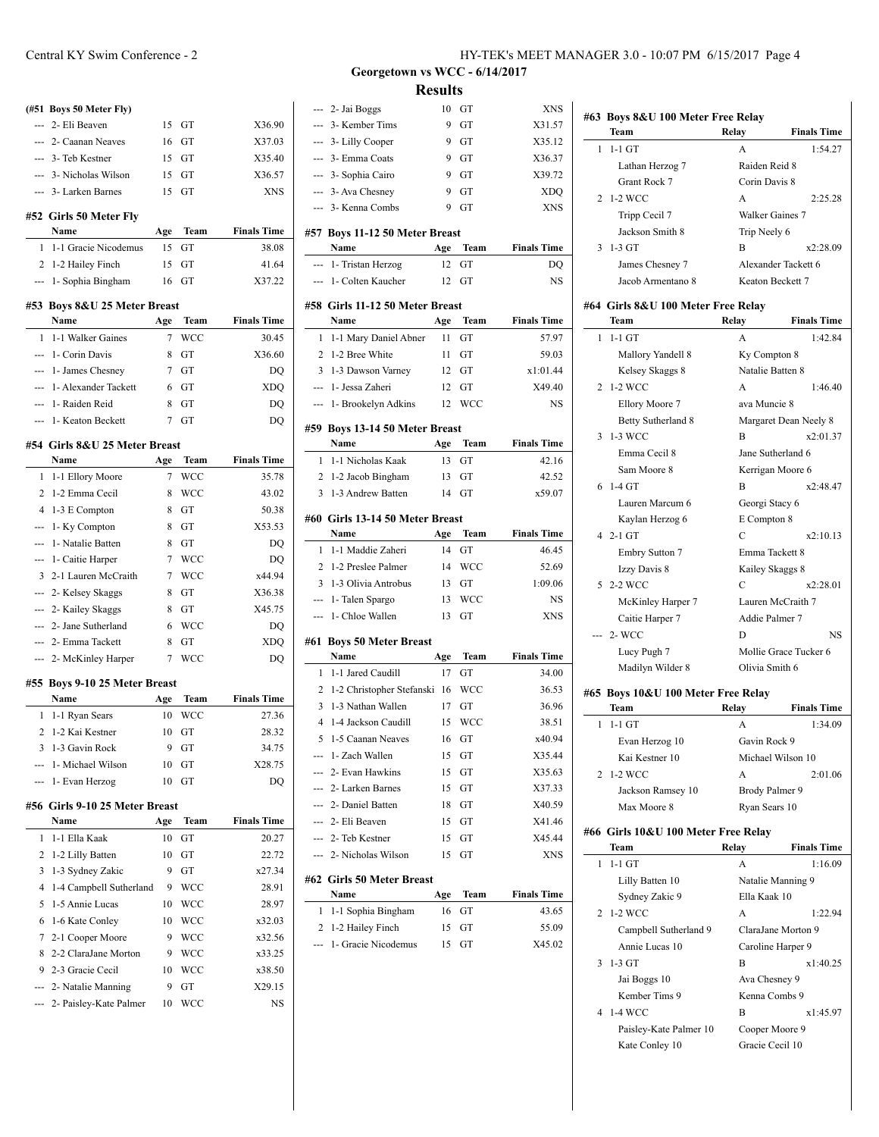|                | (#51 Boys 50 Meter Fly)                |     |            |                    |
|----------------|----------------------------------------|-----|------------|--------------------|
|                | 2- Eli Beaven                          | 15  | GT         | X36.90             |
|                | 2- Caanan Neaves                       | 16  | GT         | X37.03             |
|                | --- 3- Teb Kestner                     | 15  | <b>GT</b>  | X35.40             |
|                | --- 3- Nicholas Wilson                 | 15  | GT         | X36.57             |
|                | --- 3- Larken Barnes                   | 15  | GT         | XNS                |
|                | #52 Girls 50 Meter Fly                 |     |            |                    |
|                | Name                                   | Age | Team       | <b>Finals Time</b> |
| 1              | 1-1 Gracie Nicodemus                   | 15  | GT         | 38.08              |
| 2              | 1-2 Hailey Finch                       | 15  | GT         | 41.64              |
| ---            | 1- Sophia Bingham                      | 16  | GT         | X37.22             |
|                | #53 Boys 8&U 25 Meter Breast           |     |            |                    |
|                | Name                                   | Age | Team       | <b>Finals Time</b> |
| 1              | 1-1 Walker Gaines                      | 7   | <b>WCC</b> | 30.45              |
| ---            | 1- Corin Davis                         | 8   | GT         | X36.60             |
| ---            | 1- James Chesney                       | 7   | GT         | DQ                 |
| ---            | 1- Alexander Tackett                   | 6   | GT         | <b>XDQ</b>         |
|                | 1- Raiden Reid                         | 8   | GT         | DQ                 |
| ---            | 1- Keaton Beckett                      | 7   | GT         | DQ                 |
|                | #54 Girls 8&U 25 Meter Breast          |     |            |                    |
|                | Name                                   | Age | Team       | <b>Finals Time</b> |
| 1              | 1-1 Ellory Moore                       | 7   | WCC        | 35.78              |
| 2              | 1-2 Emma Cecil                         | 8   | WCC        | 43.02              |
| $\overline{4}$ | 1-3 E Compton                          | 8   | GT         | 50.38              |
| ---            | 1- Ky Compton                          | 8   | GT         | X53.53             |
| ---            | 1- Natalie Batten                      | 8   | GT         | DQ                 |
| ---            | 1- Caitie Harper                       | 7   | <b>WCC</b> | DQ                 |
| 3              | 2-1 Lauren McCraith                    | 7   | <b>WCC</b> | x44.94             |
|                | --- 2- Kelsey Skaggs                   | 8   | GT         | X36.38             |
| ---            | 2- Kailey Skaggs                       | 8   | GT         | X45.75             |
| $-$            | 2- Jane Sutherland                     | 6   | <b>WCC</b> | DQ                 |
|                | 2- Emma Tackett                        | 8   | GT         | <b>XDQ</b>         |
|                | 2- McKinley Harper                     | 7   | <b>WCC</b> | DO                 |
|                | #55 Boys 9-10 25 Meter Breast          |     |            |                    |
|                | Name                                   | Age | Team       | <b>Finals Time</b> |
| 1              | 1-1 Ryan Sears                         | 10  | WCC        | 27.36              |
| 2              | 1-2 Kai Kestner                        | 10  | GT         | 28.32              |
| 3              | 1-3 Gavin Rock                         | 9   | GT         | 34.75              |
| ---            | 1- Michael Wilson                      | 10  | GT         | X28.75             |
| ---            | 1- Evan Herzog                         | 10  | GT         | DQ                 |
|                |                                        |     |            |                    |
|                | #56 Girls 9-10 25 Meter Breast<br>Name | Age | Team       | <b>Finals Time</b> |
| 1              | 1-1 Ella Kaak                          | 10  | GT         | 20.27              |
| 2              | 1-2 Lilly Batten                       | 10  | GT         | 22.72              |
| 3              | 1-3 Sydney Zakic                       | 9   | GT         | x27.34             |
| 4              | 1-4 Campbell Sutherland                | 9   | <b>WCC</b> | 28.91              |
| 5              | 1-5 Annie Lucas                        | 10  | WCC        | 28.97              |
| 6              | 1-6 Kate Conley                        | 10  | WCC        | x32.03             |
| 7              | 2-1 Cooper Moore                       | 9   | WCC        | x32.56             |
| 8              | 2-2 ClaraJane Morton                   | 9   | WCC        | x33.25             |
|                | 9 2-3 Gracie Cecil                     |     | 10 WCC     | x38.50             |
|                |                                        |     |            |                    |

--- 2- Natalie Manning 9 GT X29.15 --- 2- Paisley-Kate Palmer 10 WCC NS

|                | Georgetown vs WCC - 6/14/2017          |                |                  |                    |
|----------------|----------------------------------------|----------------|------------------|--------------------|
|                |                                        | <b>Results</b> |                  |                    |
|                | --- 2- Jai Boggs                       | 10             | GT               | XNS                |
| ---            | 3- Kember Tims                         | 9              | GT               | X31.57             |
| $\overline{a}$ | 3- Lilly Cooper                        | 9              | GT               | X35.12             |
| $\overline{a}$ | 3- Emma Coats                          | 9              | GT               | X36.37             |
| ---            | 3- Sophia Cairo                        | 9              | GT               | X39.72             |
|                | --- 3- Ava Chesney                     | 9              | GT               | <b>XDQ</b>         |
| ---            | 3- Kenna Combs                         | 9              | GT               | <b>XNS</b>         |
|                |                                        |                |                  |                    |
|                | #57 Boys 11-12 50 Meter Breast         |                |                  | <b>Finals Time</b> |
|                | Name<br>--- 1- Tristan Herzog          | Age<br>12      | Team<br>GT       |                    |
|                | --- 1- Colten Kaucher                  | 12             | GT               | DQ<br><b>NS</b>    |
|                |                                        |                |                  |                    |
|                | #58 Girls 11-12 50 Meter Breast        |                |                  |                    |
|                | Name                                   | Age            | Team             | <b>Finals Time</b> |
| 1              | 1-1 Mary Daniel Abner                  | 11             | GT               | 57.97              |
| $\overline{2}$ | 1-2 Bree White                         | 11             | GT               | 59.03              |
| $\overline{3}$ | 1-3 Dawson Varney                      | 12             | GT               | x1:01.44           |
| $\overline{a}$ | 1- Jessa Zaheri                        | 12             | GT               | X49.40             |
|                | --- 1- Brookelyn Adkins                | 12             | <b>WCC</b>       | <b>NS</b>          |
|                | #59 Boys 13-14 50 Meter Breast         |                |                  |                    |
|                | Name                                   | Age            | <b>Team</b>      | <b>Finals Time</b> |
| 1              | 1-1 Nicholas Kaak                      | 13             | GT               | 42.16              |
|                | 2 1-2 Jacob Bingham                    | 13             | GT               | 42.52              |
| 3              | 1-3 Andrew Batten                      | 14             | GT               | x59.07             |
|                |                                        |                |                  |                    |
|                | #60 Girls 13-14 50 Meter Breast        |                |                  |                    |
|                | Name                                   | Age            | Team             | <b>Finals Time</b> |
| 1              | 1-1 Maddie Zaheri                      | 14             | GT               | 46.45              |
| 3              | 2 1-2 Preslee Palmer                   | 14             | <b>WCC</b>       | 52.69              |
|                | 1-3 Olivia Antrobus                    | 13             | GT               | 1:09.06            |
| ---            | --- 1- Talen Spargo<br>1- Chloe Wallen | 13<br>13       | <b>WCC</b><br>GT | NS<br><b>XNS</b>   |
|                |                                        |                |                  |                    |
|                | #61 Boys 50 Meter Breast               |                |                  |                    |
|                | Name                                   | Age            | Team             | <b>Finals Time</b> |
| $\mathbf{1}$   | 1-1 Jared Caudill                      | 17             | <b>GT</b>        | 34.00              |
| $\overline{2}$ | 1-2 Christopher Stefanski              | 16             | <b>WCC</b>       | 36.53              |
|                | 3 1-3 Nathan Wallen                    |                | 17 GT            | 36.96              |
| 4              | 1-4 Jackson Caudill                    | 15             | <b>WCC</b>       | 38.51              |
| 5              | 1-5 Caanan Neaves                      | 16             | GT               | x40.94             |
|                | --- 1- Zach Wallen                     | 15             | GT               | X35.44             |
|                | --- 2- Evan Hawkins                    | 15             | GT               | X35.63             |
|                | --- 2- Larken Barnes                   | 15             | GT               | X37.33             |
|                | --- 2- Daniel Batten                   | 18             | GT               | X40.59             |
|                | --- 2- Eli Beaven                      | 15             | GT               | X41.46             |
|                | --- 2- Teb Kestner                     | 15             | GT               | X45.44             |
|                | --- 2- Nicholas Wilson                 | 15             | GT               | <b>XNS</b>         |
|                | #62 Girls 50 Meter Breast              |                |                  |                    |
|                | Name                                   | Age            | Team             | <b>Finals Time</b> |
| 1              | 1-1 Sophia Bingham                     | 16             | GT               | 43.65              |
| 2              | 1-2 Hailey Finch                       | 15             | GT               | 55.09              |
| ---            | 1- Gracie Nicodemus                    | 15             | GT               | X45.02             |
|                |                                        |                |                  |                    |
|                |                                        |                |                  |                    |

|   | Team                               | Relay          | <b>Finals Time</b>    |
|---|------------------------------------|----------------|-----------------------|
| 1 | $1-1$ GT                           | A              | 1:54.27               |
|   | Lathan Herzog 7                    | Raiden Reid 8  |                       |
|   | Grant Rock 7                       | Corin Davis 8  |                       |
| 2 | 1-2 WCC                            | A              | 2:25.28               |
|   | Tripp Cecil 7                      |                | Walker Gaines 7       |
|   | Jackson Smith 8                    | Trip Neely 6   |                       |
| 3 | $1-3$ GT                           | B              | x2:28.09              |
|   | James Chesney 7                    |                | Alexander Tackett 6   |
|   | Jacob Armentano 8                  |                | Keaton Beckett 7      |
|   | #64 Girls 8&U 100 Meter Free Relay |                |                       |
|   | Team                               | Relay          | <b>Finals Time</b>    |
| 1 | $1-1$ GT                           | A              | 1:42.84               |
|   | Mallory Yandell 8                  | Ky Compton 8   |                       |
|   | Kelsey Skaggs 8                    |                | Natalie Batten 8      |
| 2 | 1-2 WCC                            | A              | 1:46.40               |
|   | Ellory Moore 7                     | ava Muncie 8   |                       |
|   | Betty Sutherland 8                 |                | Margaret Dean Neely 8 |
| 3 | 1-3 WCC                            | $\overline{B}$ | x2:01.37              |
|   | Emma Cecil 8                       |                | Jane Sutherland 6     |
|   | Sam Moore 8                        |                | Kerrigan Moore 6      |
| 6 | $1-4$ GT                           | B              | x2:48.47              |
|   | Lauren Marcum 6                    |                | Georgi Stacy 6        |
|   | Kaylan Herzog 6                    | E Compton 8    |                       |
|   | $4$ 2-1 GT                         | C              | x2:10.13              |
|   | <b>Embry Sutton 7</b>              |                | Emma Tackett 8        |
|   | Izzy Davis 8                       |                | Kailey Skaggs 8       |
|   | 5 2-2 WCC                          | C              | x2:28.01              |
|   | McKinley Harper 7                  |                | Lauren McCraith 7     |
|   | Caitie Harper 7                    |                | Addie Palmer 7        |
|   | $2-$ WCC                           | D              | NS.                   |
|   |                                    |                |                       |
|   | Lucy Pugh 7                        |                | Mollie Grace Tucker 6 |

## **#65 Boys 10&U 100 Meter Free Relay**

| Team                                | Relav         | <b>Finals Time</b> |  |  |
|-------------------------------------|---------------|--------------------|--|--|
| $1-1$ GT                            | A             | 1:34.09            |  |  |
| Evan Herzog 10                      |               | Gavin Rock 9       |  |  |
| Kai Kestner 10                      |               | Michael Wilson 10  |  |  |
| 2 1-2 WCC                           | A             | 2:01.06            |  |  |
| Jackson Ramsey 10                   |               | Brody Palmer 9     |  |  |
| Max Moore 8                         | Ryan Sears 10 |                    |  |  |
| #66 Girls 10&U 100 Meter Free Relay |               |                    |  |  |

|    | Team                   | Relay                                   | <b>Finals Time</b> |
|----|------------------------|-----------------------------------------|--------------------|
| 1. | $1-1$ GT               | A                                       | 1:16.09            |
|    | Lilly Batten 10        | Natalie Manning 9                       |                    |
|    | Sydney Zakic 9         | Ella Kaak 10                            |                    |
|    | 2 1-2 WCC              | A                                       | 1:22.94            |
|    | Campbell Sutherland 9  | ClaraJane Morton 9<br>Caroline Harper 9 |                    |
|    | Annie Lucas 10         |                                         |                    |
|    | $3 \t1-3$ GT           | B                                       | x1:40.25           |
|    | Jai Boggs 10           | Ava Chesney 9                           |                    |
|    | Kember Tims 9          | Kenna Combs 9                           |                    |
|    | 4 1-4 WCC              | B                                       | x1:45.97           |
|    | Paisley-Kate Palmer 10 | Cooper Moore 9                          |                    |
|    | Kate Conley 10         | Gracie Cecil 10                         |                    |